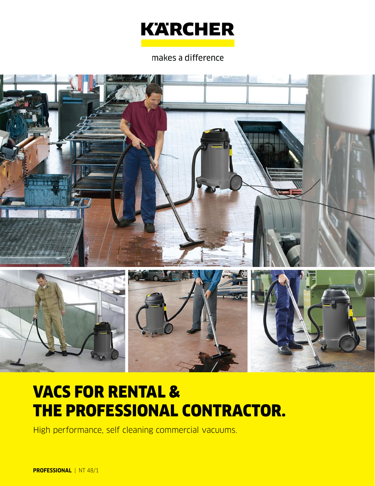

#### makes a difference



# VACS FOR RENTAL & THE PROFESSIONAL CONTRACTOR.

High performance, self cleaning commercial vacuums.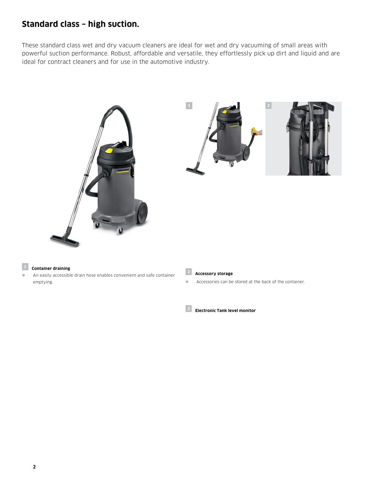### **Standard class – high suction.**

These standard class wet and dry vacuum cleaners are ideal for wet and dry vacuuming of small areas with powerful suction performance. Robust, affordable and versatile, they effortlessly pick up dirt and liquid and are ideal for contract cleaners and for use in the automotive industry.





#### **<sup>1</sup> Container draining**

 An easily accessible drain hose enables convenient and safe container emptying.



**Accessories can be stored at the back of the container.** 

**<sup>3</sup> Electronic Tank level monitor**